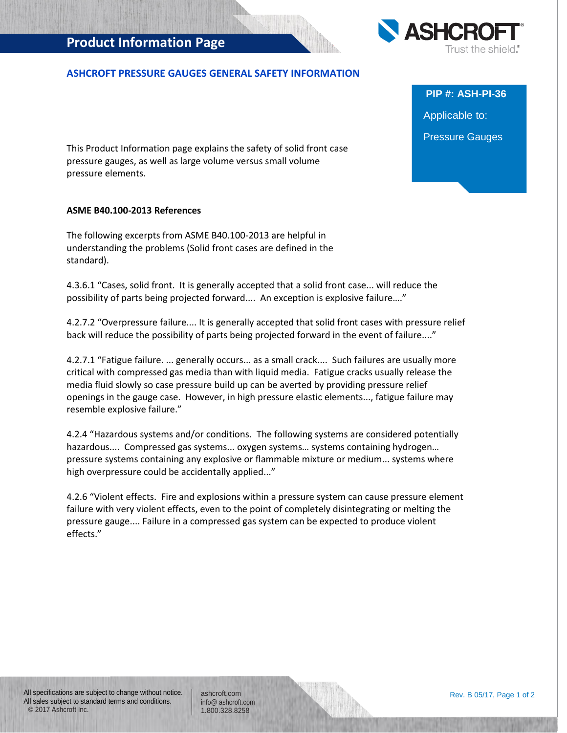# **Product Information Page**

## **ASHCROFT PRESSURE GAUGES GENERAL SAFETY INFORMATION**

This Product Information page explains the safety of solid front case pressure gauges, as well as large volume versus small volume pressure elements.

#### **ASME B40.100-2013 References**

The following excerpts from ASME B40.100-2013 are helpful in understanding the problems (Solid front cases are defined in the standard).

4.3.6.1 "Cases, solid front. It is generally accepted that a solid front case... will reduce the possibility of parts being projected forward.... An exception is explosive failure…."

4.2.7.2 "Overpressure failure.... It is generally accepted that solid front cases with pressure relief back will reduce the possibility of parts being projected forward in the event of failure...."

4.2.7.1 "Fatigue failure. ... generally occurs... as a small crack.... Such failures are usually more critical with compressed gas media than with liquid media. Fatigue cracks usually release the media fluid slowly so case pressure build up can be averted by providing pressure relief openings in the gauge case. However, in high pressure elastic elements..., fatigue failure may resemble explosive failure."

4.2.4 "Hazardous systems and/or conditions. The following systems are considered potentially hazardous.... Compressed gas systems... oxygen systems… systems containing hydrogen… pressure systems containing any explosive or flammable mixture or medium... systems where high overpressure could be accidentally applied..."

4.2.6 "Violent effects. Fire and explosions within a pressure system can cause pressure element failure with very violent effects, even to the point of completely disintegrating or melting the pressure gauge.... Failure in a compressed gas system can be expected to produce violent effects."

All specifications are subject to change without notice. All sales subject to standard terms and conditions. © 2017 Ashcroft Inc.

ashcroft.com [info@ ashcroft.com](mailto:info@ashcroft.com) 1.800.328.8258



**PIP #: ASH-PI-36** Applicable to: Pressure Gauges